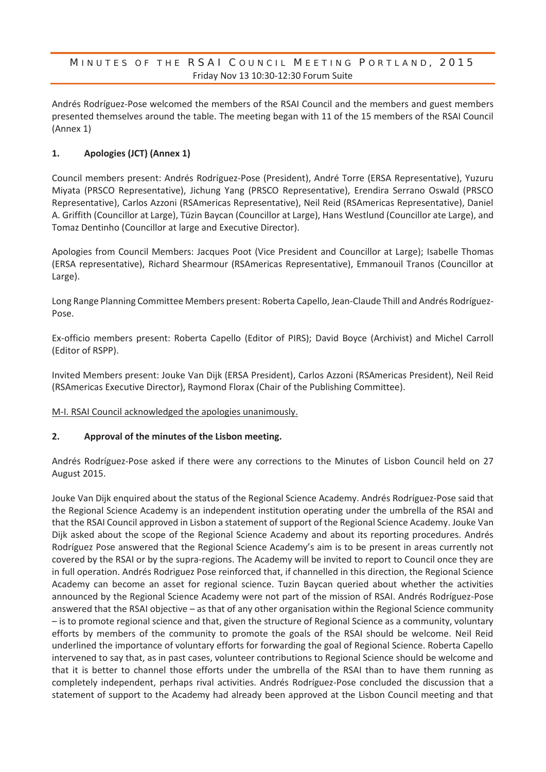#### MINUTES OF THE RSAI COUNCIL MEETING PORTLAND, 2015 Friday Nov 13 10:30-12:30 Forum Suite

Andrés Rodríguez-Pose welcomed the members of the RSAI Council and the members and guest members presented themselves around the table. The meeting began with 11 of the 15 members of the RSAI Council (Annex 1)

#### **1. Apologies (JCT) (Annex 1)**

Council members present: Andrés Rodríguez-Pose (President), André Torre (ERSA Representative), Yuzuru Miyata (PRSCO Representative), Jichung Yang (PRSCO Representative), Erendira Serrano Oswald (PRSCO Representative), Carlos Azzoni (RSAmericas Representative), Neil Reid (RSAmericas Representative), Daniel A. Griffith (Councillor at Large), Tüzin Baycan (Councillor at Large), Hans Westlund (Councillor ate Large), and Tomaz Dentinho (Councillor at large and Executive Director).

Apologies from Council Members: Jacques Poot (Vice President and Councillor at Large); Isabelle Thomas (ERSA representative), Richard Shearmour (RSAmericas Representative), Emmanouil Tranos (Councillor at Large).

Long Range Planning Committee Members present: Roberta Capello, Jean-Claude Thill and Andrés Rodríguez-Pose.

Ex-officio members present: Roberta Capello (Editor of PIRS); David Boyce (Archivist) and Michel Carroll (Editor of RSPP).

Invited Members present: Jouke Van Dijk (ERSA President), Carlos Azzoni (RSAmericas President), Neil Reid (RSAmericas Executive Director), Raymond Florax (Chair of the Publishing Committee).

M-I. RSAI Council acknowledged the apologies unanimously.

#### **2. Approval of the minutes of the Lisbon meeting.**

Andrés Rodríguez-Pose asked if there were any corrections to the Minutes of Lisbon Council held on 27 August 2015.

Jouke Van Dijk enquired about the status of the Regional Science Academy. Andrés Rodríguez-Pose said that the Regional Science Academy is an independent institution operating under the umbrella of the RSAI and that the RSAI Council approved in Lisbon a statement of support of the Regional Science Academy. Jouke Van Dijk asked about the scope of the Regional Science Academy and about its reporting procedures. Andrés Rodríguez Pose answered that the Regional Science Academy's aim is to be present in areas currently not covered by the RSAI or by the supra-regions. The Academy will be invited to report to Council once they are in full operation. Andrés Rodriguez Pose reinforced that, if channelled in this direction, the Regional Science Academy can become an asset for regional science. Tuzin Baycan queried about whether the activities announced by the Regional Science Academy were not part of the mission of RSAI. Andrés Rodríguez-Pose answered that the RSAI objective – as that of any other organisation within the Regional Science community – is to promote regional science and that, given the structure of Regional Science as a community, voluntary efforts by members of the community to promote the goals of the RSAI should be welcome. Neil Reid underlined the importance of voluntary efforts for forwarding the goal of Regional Science. Roberta Capello intervened to say that, as in past cases, volunteer contributions to Regional Science should be welcome and that it is better to channel those efforts under the umbrella of the RSAI than to have them running as completely independent, perhaps rival activities. Andrés Rodríguez-Pose concluded the discussion that a statement of support to the Academy had already been approved at the Lisbon Council meeting and that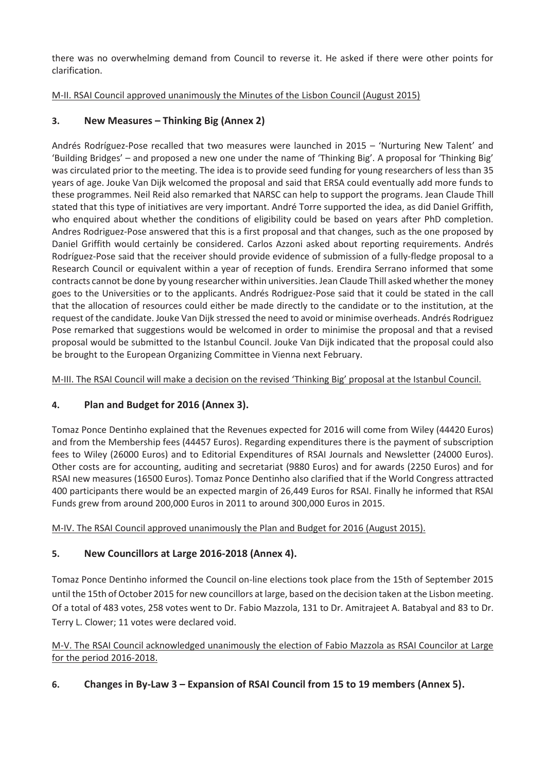there was no overwhelming demand from Council to reverse it. He asked if there were other points for clarification.

### M-II. RSAI Council approved unanimously the Minutes of the Lisbon Council (August 2015)

### **3. New Measures – Thinking Big (Annex 2)**

Andrés Rodríguez-Pose recalled that two measures were launched in 2015 – 'Nurturing New Talent' and 'Building Bridges' – and proposed a new one under the name of 'Thinking Big'. A proposal for 'Thinking Big' was circulated prior to the meeting. The idea is to provide seed funding for young researchers of less than 35 years of age. Jouke Van Dijk welcomed the proposal and said that ERSA could eventually add more funds to these programmes. Neil Reid also remarked that NARSC can help to support the programs. Jean Claude Thill stated that this type of initiatives are very important. André Torre supported the idea, as did Daniel Griffith, who enquired about whether the conditions of eligibility could be based on years after PhD completion. Andres Rodriguez-Pose answered that this is a first proposal and that changes, such as the one proposed by Daniel Griffith would certainly be considered. Carlos Azzoni asked about reporting requirements. Andrés Rodríguez-Pose said that the receiver should provide evidence of submission of a fully-fledge proposal to a Research Council or equivalent within a year of reception of funds. Erendira Serrano informed that some contracts cannot be done by young researcher within universities. Jean Claude Thill asked whether the money goes to the Universities or to the applicants. Andrés Rodriguez-Pose said that it could be stated in the call that the allocation of resources could either be made directly to the candidate or to the institution, at the request of the candidate. Jouke Van Dijk stressed the need to avoid or minimise overheads. Andrés Rodriguez Pose remarked that suggestions would be welcomed in order to minimise the proposal and that a revised proposal would be submitted to the Istanbul Council. Jouke Van Dijk indicated that the proposal could also be brought to the European Organizing Committee in Vienna next February.

M-III. The RSAI Council will make a decision on the revised 'Thinking Big' proposal at the Istanbul Council.

### **4. Plan and Budget for 2016 (Annex 3).**

Tomaz Ponce Dentinho explained that the Revenues expected for 2016 will come from Wiley (44420 Euros) and from the Membership fees (44457 Euros). Regarding expenditures there is the payment of subscription fees to Wiley (26000 Euros) and to Editorial Expenditures of RSAI Journals and Newsletter (24000 Euros). Other costs are for accounting, auditing and secretariat (9880 Euros) and for awards (2250 Euros) and for RSAI new measures (16500 Euros). Tomaz Ponce Dentinho also clarified that if the World Congress attracted 400 participants there would be an expected margin of 26,449 Euros for RSAI. Finally he informed that RSAI Funds grew from around 200,000 Euros in 2011 to around 300,000 Euros in 2015.

M-IV. The RSAI Council approved unanimously the Plan and Budget for 2016 (August 2015).

### **5. New Councillors at Large 2016-2018 (Annex 4).**

Tomaz Ponce Dentinho informed the Council on-line elections took place from the 15th of September 2015 until the 15th of October 2015 for new councillors at large, based on the decision taken at the Lisbon meeting. Of a total of 483 votes, 258 votes went to Dr. Fabio Mazzola, 131 to Dr. Amitrajeet A. Batabyal and 83 to Dr. Terry L. Clower; 11 votes were declared void.

M-V. The RSAI Council acknowledged unanimously the election of Fabio Mazzola as RSAI Councilor at Large for the period 2016-2018.

### **6. Changes in By-Law 3 – Expansion of RSAI Council from 15 to 19 members (Annex 5).**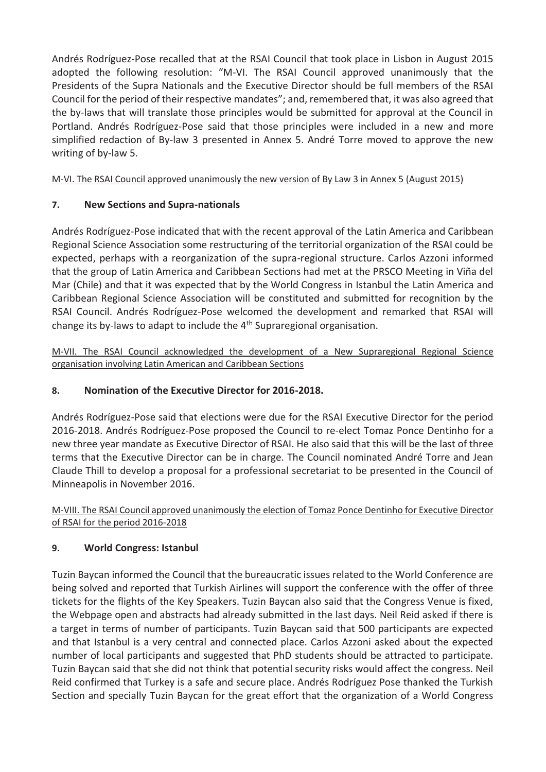Andrés Rodríguez-Pose recalled that at the RSAI Council that took place in Lisbon in August 2015 adopted the following resolution: "M-VI. The RSAI Council approved unanimously that the Presidents of the Supra Nationals and the Executive Director should be full members of the RSAI Council for the period of their respective mandates"; and, remembered that, it was also agreed that the by-laws that will translate those principles would be submitted for approval at the Council in Portland. Andrés Rodríguez-Pose said that those principles were included in a new and more simplified redaction of By-law 3 presented in Annex 5. André Torre moved to approve the new writing of by-law 5.

M-VI. The RSAI Council approved unanimously the new version of By Law 3 in Annex 5 (August 2015)

# **7. New Sections and Supra-nationals**

Andrés Rodríguez-Pose indicated that with the recent approval of the Latin America and Caribbean Regional Science Association some restructuring of the territorial organization of the RSAI could be expected, perhaps with a reorganization of the supra-regional structure. Carlos Azzoni informed that the group of Latin America and Caribbean Sections had met at the PRSCO Meeting in Viña del Mar (Chile) and that it was expected that by the World Congress in Istanbul the Latin America and Caribbean Regional Science Association will be constituted and submitted for recognition by the RSAI Council. Andrés Rodríguez-Pose welcomed the development and remarked that RSAI will change its by-laws to adapt to include the  $4<sup>th</sup>$  Supraregional organisation.

M-VII. The RSAI Council acknowledged the development of a New Supraregional Regional Science organisation involving Latin American and Caribbean Sections

# **8. Nomination of the Executive Director for 2016-2018.**

Andrés Rodríguez-Pose said that elections were due for the RSAI Executive Director for the period 2016-2018. Andrés Rodríguez-Pose proposed the Council to re-elect Tomaz Ponce Dentinho for a new three year mandate as Executive Director of RSAI. He also said that this will be the last of three terms that the Executive Director can be in charge. The Council nominated André Torre and Jean Claude Thill to develop a proposal for a professional secretariat to be presented in the Council of Minneapolis in November 2016.

M-VIII. The RSAI Council approved unanimously the election of Tomaz Ponce Dentinho for Executive Director of RSAI for the period 2016-2018

# **9. World Congress: Istanbul**

Tuzin Baycan informed the Council that the bureaucratic issues related to the World Conference are being solved and reported that Turkish Airlines will support the conference with the offer of three tickets for the flights of the Key Speakers. Tuzin Baycan also said that the Congress Venue is fixed, the Webpage open and abstracts had already submitted in the last days. Neil Reid asked if there is a target in terms of number of participants. Tuzin Baycan said that 500 participants are expected and that Istanbul is a very central and connected place. Carlos Azzoni asked about the expected number of local participants and suggested that PhD students should be attracted to participate. Tuzin Baycan said that she did not think that potential security risks would affect the congress. Neil Reid confirmed that Turkey is a safe and secure place. Andrés Rodríguez Pose thanked the Turkish Section and specially Tuzin Baycan for the great effort that the organization of a World Congress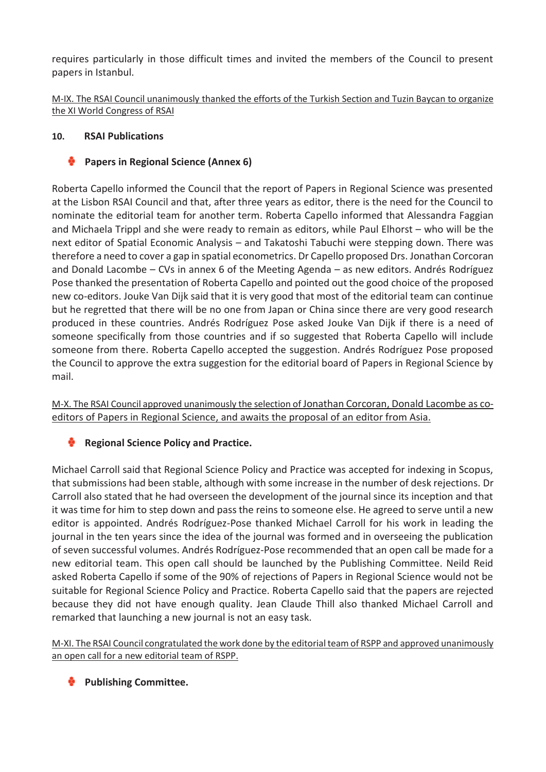requires particularly in those difficult times and invited the members of the Council to present papers in Istanbul.

M-IX. The RSAI Council unanimously thanked the efforts of the Turkish Section and Tuzin Baycan to organize the XI World Congress of RSAI

### **10. RSAI Publications**

# **Papers in Regional Science (Annex 6)**

Roberta Capello informed the Council that the report of Papers in Regional Science was presented at the Lisbon RSAI Council and that, after three years as editor, there is the need for the Council to nominate the editorial team for another term. Roberta Capello informed that Alessandra Faggian and Michaela Trippl and she were ready to remain as editors, while Paul Elhorst – who will be the next editor of Spatial Economic Analysis – and Takatoshi Tabuchi were stepping down. There was therefore a need to cover a gap in spatial econometrics. Dr Capello proposed Drs. Jonathan Corcoran and Donald Lacombe – CVs in annex 6 of the Meeting Agenda – as new editors. Andrés Rodríguez Pose thanked the presentation of Roberta Capello and pointed out the good choice of the proposed new co-editors. Jouke Van Dijk said that it is very good that most of the editorial team can continue but he regretted that there will be no one from Japan or China since there are very good research produced in these countries. Andrés Rodríguez Pose asked Jouke Van Dijk if there is a need of someone specifically from those countries and if so suggested that Roberta Capello will include someone from there. Roberta Capello accepted the suggestion. Andrés Rodríguez Pose proposed the Council to approve the extra suggestion for the editorial board of Papers in Regional Science by mail.

M-X. The RSAI Council approved unanimously the selection of Jonathan Corcoran, Donald Lacombe as coeditors of Papers in Regional Science, and awaits the proposal of an editor from Asia.

# **Regional Science Policy and Practice.**

Michael Carroll said that Regional Science Policy and Practice was accepted for indexing in Scopus, that submissions had been stable, although with some increase in the number of desk rejections. Dr Carroll also stated that he had overseen the development of the journal since its inception and that it was time for him to step down and pass the reins to someone else. He agreed to serve until a new editor is appointed. Andrés Rodríguez-Pose thanked Michael Carroll for his work in leading the journal in the ten years since the idea of the journal was formed and in overseeing the publication of seven successful volumes. Andrés Rodríguez-Pose recommended that an open call be made for a new editorial team. This open call should be launched by the Publishing Committee. Neild Reid asked Roberta Capello if some of the 90% of rejections of Papers in Regional Science would not be suitable for Regional Science Policy and Practice. Roberta Capello said that the papers are rejected because they did not have enough quality. Jean Claude Thill also thanked Michael Carroll and remarked that launching a new journal is not an easy task.

M-XI. The RSAI Council congratulated the work done by the editorial team of RSPP and approved unanimously an open call for a new editorial team of RSPP.

**Publishing Committee.**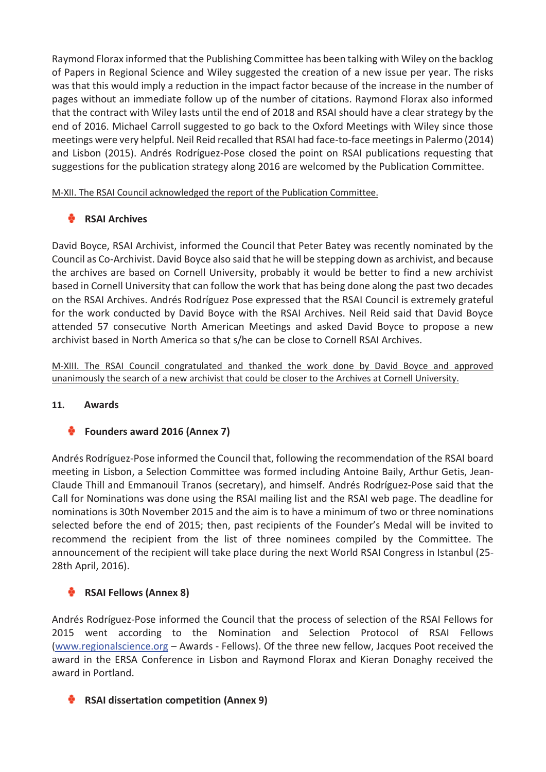Raymond Florax informed that the Publishing Committee has been talking with Wiley on the backlog of Papers in Regional Science and Wiley suggested the creation of a new issue per year. The risks was that this would imply a reduction in the impact factor because of the increase in the number of pages without an immediate follow up of the number of citations. Raymond Florax also informed that the contract with Wiley lasts until the end of 2018 and RSAI should have a clear strategy by the end of 2016. Michael Carroll suggested to go back to the Oxford Meetings with Wiley since those meetings were very helpful. Neil Reid recalled that RSAI had face-to-face meetings in Palermo (2014) and Lisbon (2015). Andrés Rodríguez-Pose closed the point on RSAI publications requesting that suggestions for the publication strategy along 2016 are welcomed by the Publication Committee.

M-XII. The RSAI Council acknowledged the report of the Publication Committee.

# **RSAI Archives**

David Boyce, RSAI Archivist, informed the Council that Peter Batey was recently nominated by the Council as Co-Archivist. David Boyce also said that he will be stepping down as archivist, and because the archives are based on Cornell University, probably it would be better to find a new archivist based in Cornell University that can follow the work that has being done along the past two decades on the RSAI Archives. Andrés Rodríguez Pose expressed that the RSAI Council is extremely grateful for the work conducted by David Boyce with the RSAI Archives. Neil Reid said that David Boyce attended 57 consecutive North American Meetings and asked David Boyce to propose a new archivist based in North America so that s/he can be close to Cornell RSAI Archives.

M-XIII. The RSAI Council congratulated and thanked the work done by David Boyce and approved unanimously the search of a new archivist that could be closer to the Archives at Cornell University.

### **11. Awards**

# **Founders award 2016 (Annex 7)**

Andrés Rodríguez-Pose informed the Council that, following the recommendation of the RSAI board meeting in Lisbon, a Selection Committee was formed including Antoine Baily, Arthur Getis, Jean-Claude Thill and Emmanouil Tranos (secretary), and himself. Andrés Rodríguez-Pose said that the Call for Nominations was done using the RSAI mailing list and the RSAI web page. The deadline for nominations is 30th November 2015 and the aim is to have a minimum of two or three nominations selected before the end of 2015; then, past recipients of the Founder's Medal will be invited to recommend the recipient from the list of three nominees compiled by the Committee. The announcement of the recipient will take place during the next World RSAI Congress in Istanbul (25- 28th April, 2016).

# **RSAI Fellows (Annex 8)**

Andrés Rodríguez-Pose informed the Council that the process of selection of the RSAI Fellows for 2015 went according to the Nomination and Selection Protocol of RSAI Fellows (www.regionalscience.org – Awards - Fellows). Of the three new fellow, Jacques Poot received the award in the ERSA Conference in Lisbon and Raymond Florax and Kieran Donaghy received the award in Portland.

### **RSAI dissertation competition (Annex 9)**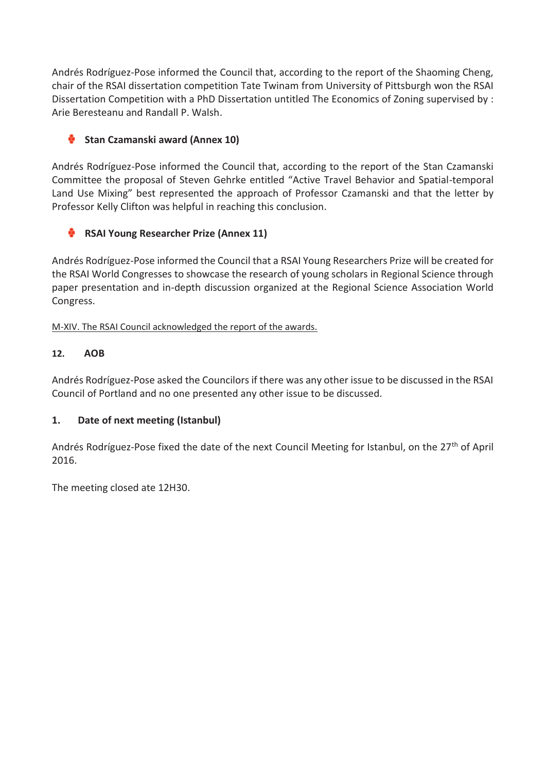Andrés Rodríguez-Pose informed the Council that, according to the report of the Shaoming Cheng, chair of the RSAI dissertation competition Tate Twinam from University of Pittsburgh won the RSAI Dissertation Competition with a PhD Dissertation untitled The Economics of Zoning supervised by : Arie Beresteanu and Randall P. Walsh.

# **Stan Czamanski award (Annex 10)**

Andrés Rodríguez-Pose informed the Council that, according to the report of the Stan Czamanski Committee the proposal of Steven Gehrke entitled "Active Travel Behavior and Spatial-temporal Land Use Mixing" best represented the approach of Professor Czamanski and that the letter by Professor Kelly Clifton was helpful in reaching this conclusion.

# **RSAI Young Researcher Prize (Annex 11)**

Andrés Rodríguez-Pose informed the Council that a RSAI Young Researchers Prize will be created for the RSAI World Congresses to showcase the research of young scholars in Regional Science through paper presentation and in-depth discussion organized at the Regional Science Association World Congress.

M-XIV. The RSAI Council acknowledged the report of the awards.

# **12. AOB**

Andrés Rodríguez-Pose asked the Councilors if there was any other issue to be discussed in the RSAI Council of Portland and no one presented any other issue to be discussed.

# **1. Date of next meeting (Istanbul)**

Andrés Rodríguez-Pose fixed the date of the next Council Meeting for Istanbul, on the 27<sup>th</sup> of April 2016.

The meeting closed ate 12H30.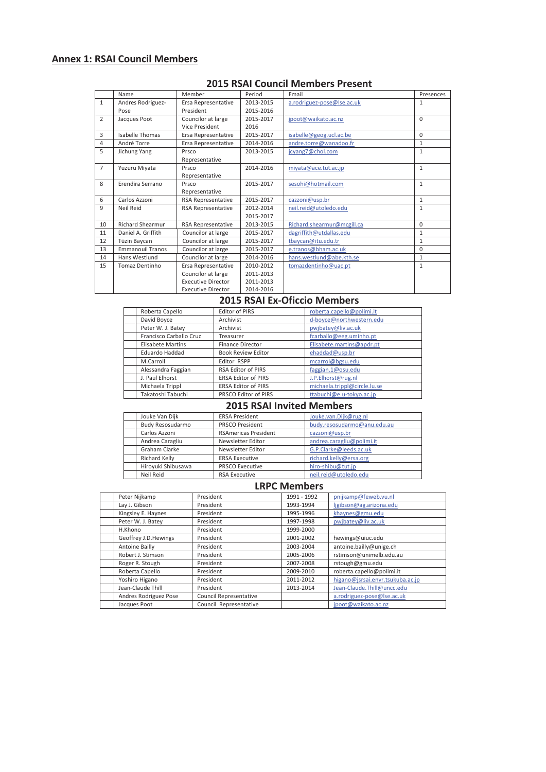# **Annex 1: RSAI Council Members**

| <b>2015 RSAI Council Members Present</b> |  |
|------------------------------------------|--|
|------------------------------------------|--|

|                | Name                    | Member                    | Period    | Email                      | Presences    |
|----------------|-------------------------|---------------------------|-----------|----------------------------|--------------|
| $\mathbf{1}$   | Andres Rodriguez-       | Ersa Representative       | 2013-2015 | a.rodriguez-pose@lse.ac.uk | $\mathbf{1}$ |
|                | Pose                    | President                 | 2015-2016 |                            |              |
| $\overline{2}$ | Jacques Poot            | Councilor at large        | 2015-2017 | jpoot@waikato.ac.nz        | $\Omega$     |
|                |                         | Vice President            | 2016      |                            |              |
| 3              | <b>Isabelle Thomas</b>  | Ersa Representative       | 2015-2017 | isabelle@geog.ucl.ac.be    | $\Omega$     |
| $\overline{4}$ | André Torre             | Ersa Representative       | 2014-2016 | andre.torre@wanadoo.fr     | $\mathbf{1}$ |
| 5              | Jichung Yang            | Prsco                     | 2013-2015 | jcyang7@chol.com           | $\mathbf{1}$ |
|                |                         | Representative            |           |                            |              |
| $\overline{7}$ | Yuzuru Miyata           | Prsco                     | 2014-2016 | miyata@ace.tut.ac.jp       | $\mathbf{1}$ |
|                |                         | Representative            |           |                            |              |
| 8              | Erendira Serrano        | Prsco                     | 2015-2017 | sesohi@hotmail.com         | $\mathbf{1}$ |
|                |                         | Representative            |           |                            |              |
| 6              | Carlos Azzoni           | RSA Representative        | 2015-2017 | cazzoni@usp.br             | $\mathbf{1}$ |
| 9              | Neil Reid               | <b>RSA Representative</b> | 2012-2014 | neil.reid@utoledo.edu      | $\mathbf{1}$ |
|                |                         |                           | 2015-2017 |                            |              |
| 10             | <b>Richard Shearmur</b> | RSA Representative        | 2013-2015 | Richard.shearmur@mcgill.ca | $\Omega$     |
| 11             | Daniel A. Griffith      | Councilor at large        | 2015-2017 | dagriffith@utdallas.edu    | $\mathbf{1}$ |
| 12             | Tüzin Baycan            | Councilor at large        | 2015-2017 | tbaycan@itu.edu.tr         | $\mathbf{1}$ |
| 13             | <b>Emmanouil Tranos</b> | Councilor at large        | 2015-2017 | e.tranos@bham.ac.uk        | $\Omega$     |
| 14             | Hans Westlund           | Councilor at large        | 2014-2016 | hans.westlund@abe.kth.se   | $\mathbf{1}$ |
| 15             | Tomaz Dentinho          | Ersa Representative       | 2010-2012 | tomazdentinho@uac.pt       | $\mathbf{1}$ |
|                |                         | Councilor at large        | 2011-2013 |                            |              |
|                |                         | <b>Executive Director</b> | 2011-2013 |                            |              |
|                |                         | <b>Executive Director</b> | 2014-2016 |                            |              |

#### **2015 RSAI Ex-Oficcio Members**

| Roberta Capello          | <b>Editor of PIRS</b>      | roberta.capello@polimi.it    |  |
|--------------------------|----------------------------|------------------------------|--|
| David Boyce              | Archivist                  | d-boyce@northwestern.edu     |  |
| Peter W. J. Batey        | Archivist                  | pwjbatey@liv.ac.uk           |  |
| Francisco Carballo Cruz  | Treasurer                  | fcarballo@eeg.uminho.pt      |  |
| <b>Elisabete Martins</b> | <b>Finance Director</b>    | Elisabete.martins@apdr.pt    |  |
| Eduardo Haddad           | <b>Book Review Editor</b>  | ehaddad@usp.br               |  |
| M.Carroll                | Editor RSPP                | mcarrol@bgsu.edu             |  |
| Alessandra Faggian       | <b>RSA Editor of PIRS</b>  | faggian.1@osu.edu            |  |
| J. Paul Elhorst          | <b>ERSA Editor of PIRS</b> | J.P.Elhorst@rug.nl           |  |
| Michaela Trippl          | <b>ERSA Editor of PIRS</b> | michaela.trippl@circle.lu.se |  |
| Takatoshi Tabuchi        | PRSCO Editor of PIRS       | ttabuchi@e.u-tokyo.ac.jp     |  |
|                          |                            |                              |  |

#### **2015 RSAI Invited Members**

| Jouke Van Dijk     | <b>ERSA President</b>       | Jouke.van.Dijk@rug.nl       |  |
|--------------------|-----------------------------|-----------------------------|--|
| Budy Resosudarmo   | <b>PRSCO President</b>      | budy.resosudarmo@anu.edu.au |  |
| Carlos Azzoni      | <b>RSAmericas President</b> | cazzoni@usp.br              |  |
| Andrea Caragliu    | Newsletter Editor           | andrea.caragliu@polimi.it   |  |
| Graham Clarke      | Newsletter Editor           | G.P.Clarke@leeds.ac.uk      |  |
| Richard Kelly      | <b>ERSA Executive</b>       | richard.kelly@ersa.org      |  |
| Hiroyuki Shibusawa | <b>PRSCO Executive</b>      | hiro-shibu@tut.jp           |  |
| Neil Reid          | <b>RSA Executive</b>        | neil.reid@utoledo.edu       |  |

#### **LRPC Members**

|                                                                                             | Peter Nijkamp         | President                     | 1991 - 1992 | pnijkamp@feweb.vu.nl             |  |
|---------------------------------------------------------------------------------------------|-----------------------|-------------------------------|-------------|----------------------------------|--|
|                                                                                             | Lay J. Gibson         | President                     | 1993-1994   | ljgibson@ag.arizona.edu          |  |
|                                                                                             | Kingsley E. Haynes    | President                     | 1995-1996   | khaynes@gmu.edu                  |  |
|                                                                                             | Peter W. J. Batey     | President                     | 1997-1998   | pwjbatey@liv.ac.uk               |  |
|                                                                                             | H.Khono               | President                     | 1999-2000   |                                  |  |
|                                                                                             | Geoffrey J.D. Hewings | President                     | 2001-2002   | hewings@uiuc.edu                 |  |
|                                                                                             | Antoine Bailly        | President                     | 2003-2004   | antoine.bailly@unige.ch          |  |
|                                                                                             | Robert J. Stimson     | President                     | 2005-2006   | rstimson@unimelb.edu.au          |  |
| Roger R. Stough<br>President<br>Roberta Capello<br>President<br>Yoshiro Higano<br>President |                       |                               | 2007-2008   | rstough@gmu.edu                  |  |
|                                                                                             |                       |                               | 2009-2010   | roberta.capello@polimi.it        |  |
|                                                                                             |                       |                               | 2011-2012   | higano@jsrsai.envr.tsukuba.ac.jp |  |
|                                                                                             | Jean-Claude Thill     | President                     | 2013-2014   | Jean-Claude.Thill@uncc.edu       |  |
|                                                                                             | Andres Rodriguez Pose | <b>Council Representative</b> |             | a.rodriguez-pose@lse.ac.uk       |  |
|                                                                                             | Jacques Poot          | Council Representative        |             | jpoot@waikato.ac.nz              |  |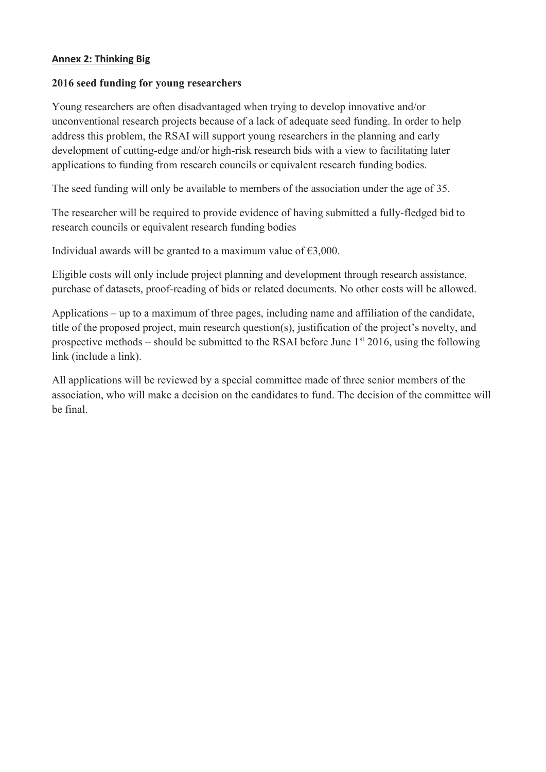### **Annex 2: Thinking Big**

#### **2016 seed funding for young researchers**

Young researchers are often disadvantaged when trying to develop innovative and/or unconventional research projects because of a lack of adequate seed funding. In order to help address this problem, the RSAI will support young researchers in the planning and early development of cutting-edge and/or high-risk research bids with a view to facilitating later applications to funding from research councils or equivalent research funding bodies.

The seed funding will only be available to members of the association under the age of 35.

The researcher will be required to provide evidence of having submitted a fully-fledged bid to research councils or equivalent research funding bodies

Individual awards will be granted to a maximum value of  $\epsilon$ 3,000.

Eligible costs will only include project planning and development through research assistance, purchase of datasets, proof-reading of bids or related documents. No other costs will be allowed.

Applications – up to a maximum of three pages, including name and affiliation of the candidate, title of the proposed project, main research question(s), justification of the project's novelty, and prospective methods – should be submitted to the RSAI before June  $1<sup>st</sup> 2016$ , using the following link (include a link).

All applications will be reviewed by a special committee made of three senior members of the association, who will make a decision on the candidates to fund. The decision of the committee will be final.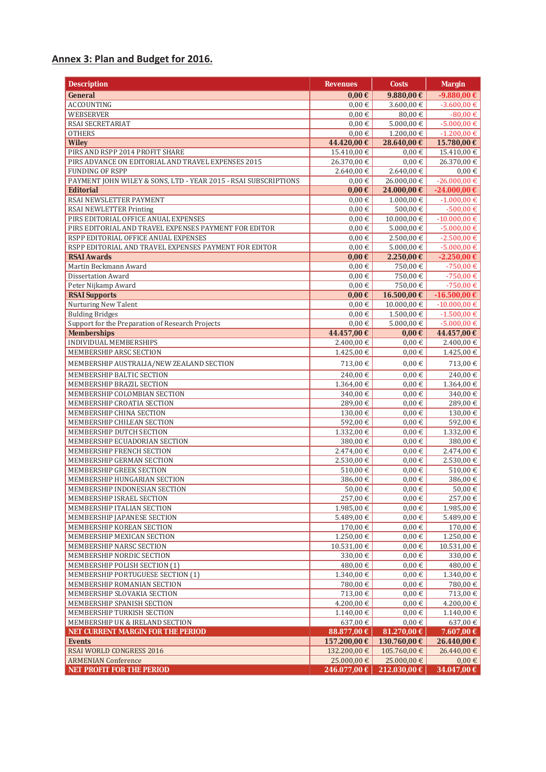### **Annex 3: Plan and Budget for 2016.**

| <b>Description</b>                                              | <b>Revenues</b>          | Costs                    | <b>Margin</b>          |
|-----------------------------------------------------------------|--------------------------|--------------------------|------------------------|
| General                                                         | $0,00 \in$               | 9.880,00€                | -9.880,00 €            |
| <b>ACCOUNTING</b>                                               | $0,00 \in$               | 3.600,00 €               | $-3.600,00 \in$        |
| <b>WEBSERVER</b>                                                | $0.00 \in$               | 80,00€                   | $-80,00 \in$           |
| RSAI SECRETARIAT                                                | $0,00 \in$               | $5.000,00 \in$           | $-5.000,00 \in$        |
| <b>OTHERS</b>                                                   | $0.00 \in$               | 1.200,00 €               | $-1.200,00 \in$        |
| <b>Wiley</b>                                                    | 44.420,00 €              | 28.640,00 €              | 15.780,00 €            |
| PIRS AND RSPP 2014 PROFIT SHARE                                 | 15.410,00 €              | $0.00 \in$               | 15.410,00 €            |
| PIRS ADVANCE ON EDITORIAL AND TRAVEL EXPENSES 2015              | 26.370,00 €              | $0,00 \in$               | 26.370,00 €            |
| <b>FUNDING OF RSPP</b>                                          | 2.640,00€                | $2.640,00 \in$           | $0,00 \in$             |
| PAYMENT JOHN WILEY & SONS, LTD - YEAR 2015 - RSAI SUBSCRIPTIONS | $0.00 \in$               | 26.000,00 €              | $-26.000,00 \in$       |
| <b>Editorial</b>                                                | $0,00 \in$               | 24.000,00 €              | -24.000,00 €           |
| RSAI NEWSLETTER PAYMENT                                         | $0,00 \in$               | $1.000,00 \in$           | $-1.000,00 \in$        |
| RSAI NEWLETTER Printing                                         | $0.00 \in$               | 500,00€                  | $-500,00 \in$          |
| PIRS EDITORIAL OFFICE ANUAL EXPENSES                            | $0.00 \in$               | 10.000,00 €              | $-10.000,00 \in$       |
| PIRS EDITORIAL AND TRAVEL EXPENSES PAYMENT FOR EDITOR           | $0,00 \in$               | $5.000,00 \in$           | $-5.000,00 \in$        |
| RSPP EDITORIAL OFFICE ANUAL EXPENSES                            | $0.00 \in$               | 2.500,00 €               | $-2.500,00 \in$        |
| RSPP EDITORIAL AND TRAVEL EXPENSES PAYMENT FOR EDITOR           | $0,00 \in$               | $5.000,00 \in$           | $-5.000,00 \in$        |
| <b>RSAI Awards</b>                                              | $0,00 \in$               | 2.250,00€                | $-2.250,00 \in$        |
| Martin Beckmann Award                                           | $0,00 \in$               | 750,00€                  | $-750,00€$             |
| Dissertation Award<br>Peter Nijkamp Award                       | $0,00 \in$<br>$0,00 \in$ | 750,00€<br>750,00€       | -750,00€<br>$-750,00€$ |
| <b>RSAI Supports</b>                                            | $0,00 \in$               | 16.500,00 €              | -16.500,00€            |
| <b>Nurturing New Talent</b>                                     | $0,00 \in$               | 10.000,00 €              | $-10.000,00 \in$       |
| <b>Bulding Bridges</b>                                          | $0,00 \in$               | 1.500,00 €               | $-1.500,00 \in$        |
| Support for the Preparation of Research Projects                | $0,00 \in$               | $5.000,00 \in$           | $-5.000,00 \in$        |
| <b>Memberships</b>                                              | 44.457,00 €              | 0,00€                    | 44.457,00 €            |
| INDIVIDUAL MEMBERSHIPS                                          | 2.400,00 €               | $0,00 \in$               | 2.400,00 €             |
| MEMBERSHIP ARSC SECTION                                         | 1.425,00 €               | $0,00 \in$               | $1.425,00 \in$         |
| MEMBERSHIP AUSTRALIA/NEW ZEALAND SECTION                        | 713,00€                  | $0,00 \in$               | 713,00 €               |
|                                                                 |                          |                          |                        |
| MEMBERSHIP BALTIC SECTION                                       | 240,00€                  | $0.00 \in$               | 240,00 €               |
| MEMBERSHIP BRAZIL SECTION                                       | 1.364,00€                | $0,00 \in$               | 1.364,00 €             |
| MEMBERSHIP COLOMBIAN SECTION<br>MEMBERSHIP CROATIA SECTION      | 340,00€<br>289,00€       | $0.00 \in$<br>$0,00 \in$ | 340,00 €<br>289,00€    |
| MEMBERSHIP CHINA SECTION                                        | 130,00€                  | $0,00 \in$               | 130,00 €               |
| MEMBERSHIP CHILEAN SECTION                                      | 592,00€                  | $0,00 \in$               | 592,00€                |
| MEMBERSHIP DUTCH SECTION                                        | 1.332,00 €               | $0,00 \in$               | 1.332,00 €             |
| MEMBERSHIP ECUADORIAN SECTION                                   | 380,00€                  | $0,00 \in$               | 380,00€                |
| MEMBERSHIP FRENCH SECTION                                       | 2.474,00 €               | 0,00€                    | 2.474,00 €             |
| MEMBERSHIP GERMAN SECTION                                       | 2.530,00 €               | $0,00 \in$               | 2.530,00 €             |
| MEMBERSHIP GREEK SECTION                                        | 510,00€                  | $0{,}00 \in$             | $510{,}00 \in$         |
| MEMBERSHIP HUNGARIAN SECTION                                    | 386,00€                  | $0,00 \in$               | 386,00€                |
| MEMBERSHIP INDONESIAN SECTION                                   | 50,00€                   | $0,00 \in$               | 50,00 €                |
| MEMBERSHIP ISRAEL SECTION                                       | 257,00€                  | $0.00 \in$               | 257,00 €               |
| MEMBERSHIP ITALIAN SECTION                                      | 1.985,00€                | $0,00 \in$               | 1.985,00€              |
| MEMBERSHIP JAPANESE SECTION                                     | 5.489,00 €               | $0,00 \in$               | 5.489,00 €             |
| MEMBERSHIP KOREAN SECTION                                       | 170,00 €                 | $0{,}00 \in$             | 170,00 €               |
| MEMBERSHIP MEXICAN SECTION                                      | 1.250,00 €               | $0.00 \in$               | 1.250,00 €             |
| MEMBERSHIP NARSC SECTION                                        | 10.531,00 €              | $0{,}00 \in$             | 10.531,00€             |
| MEMBERSHIP NORDIC SECTION                                       | 330,00€                  | $0{,}00 \in$             | 330,00 €               |
| MEMBERSHIP POLISH SECTION (1)                                   | 480,00€                  | $0.00 \in$               | 480,00 €               |
| MEMBERSHIP PORTUGUESE SECTION (1)                               | 1.340,00€                | $0,00 \in$               | 1.340,00 €             |
| MEMBERSHIP ROMANIAN SECTION                                     | 780,00€                  | $0{,}00 \in$             | 780,00 €               |
| MEMBERSHIP SLOVAKIA SECTION                                     | 713,00€                  | $0,00\in$                | 713,00 €               |
| MEMBERSHIP SPANISH SECTION<br>MEMBERSHIP TURKISH SECTION        | 4.200,00 €               | $0,00 \in$               | $4.200,00 \in$         |
| MEMBERSHIP UK & IRELAND SECTION                                 | 1.140,00€<br>637,00€     | $0,00 \in$<br>$0,00 \in$ | 1.140,00€<br>637,00 €  |
| NET CURRENT MARGIN FOR THE PERIOD                               | 88.877,00 €              | 81.270,00 €              | 7.607,00 €             |
| <b>Events</b>                                                   | 157.200,00 €             | 130.760,00 €             | 26.440,00 €            |
| RSAI WORLD CONGRESS 2016                                        | 132.200,00 €             | 105.760,00 €             | 26.440,00 €            |
| <b>ARMENIAN Conference</b>                                      | 25.000,00 €              | 25.000,00 €              | $0,00 \in$             |
| NET PROFIT FOR THE PERIOD                                       | 246.077,00 €             | 212.030,00 €             | 34.047,00 €            |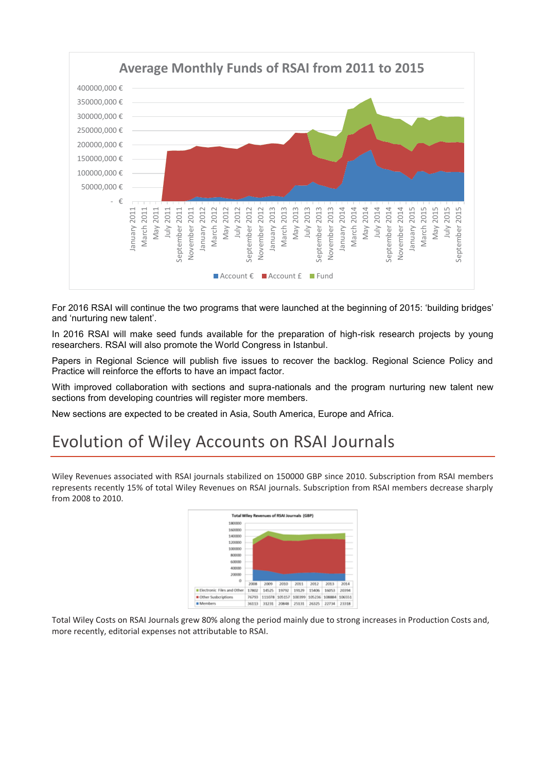

For 2016 RSAI will continue the two programs that were launched at the beginning of 2015: 'building bridges' and 'nurturing new talent'.

In 2016 RSAI will make seed funds available for the preparation of high-risk research projects by young researchers. RSAI will also promote the World Congress in Istanbul.

Papers in Regional Science will publish five issues to recover the backlog. Regional Science Policy and Practice will reinforce the efforts to have an impact factor.

With improved collaboration with sections and supra-nationals and the program nurturing new talent new sections from developing countries will register more members.

New sections are expected to be created in Asia, South America, Europe and Africa.

# Evolution of Wiley Accounts on RSAI Journals

Wiley Revenues associated with RSAI journals stabilized on 150000 GBP since 2010. Subscription from RSAI members represents recently 15% of total Wiley Revenues on RSAI journals. Subscription from RSAI members decrease sharply from 2008 to 2010.



Total Wiley Costs on RSAI Journals grew 80% along the period mainly due to strong increases in Production Costs and, more recently, editorial expenses not attributable to RSAI.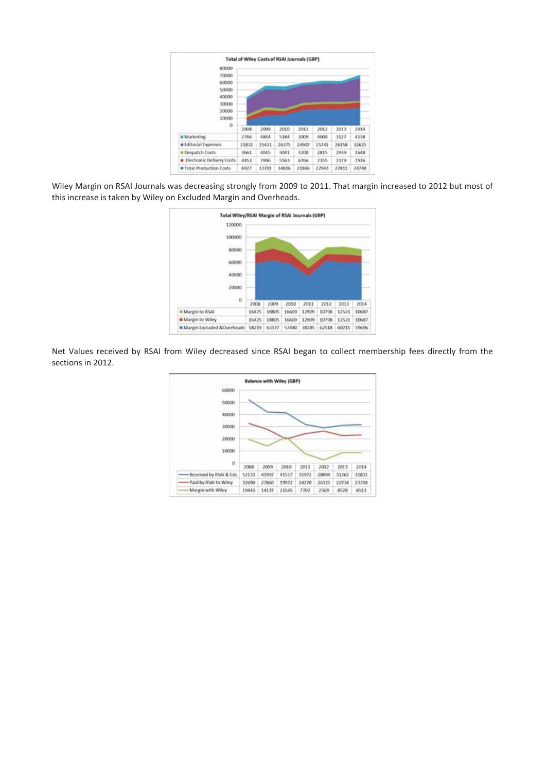

Wiley Margin on RSAI Journals was decreasing strongly from 2009 to 2011. That margin increased to 2012 but most of this increase is taken by Wiley on Excluded Margin and Overheads.



Net Values received by RSAI from Wiley decreased since RSAI began to collect membership fees directly from the sections in 2012.

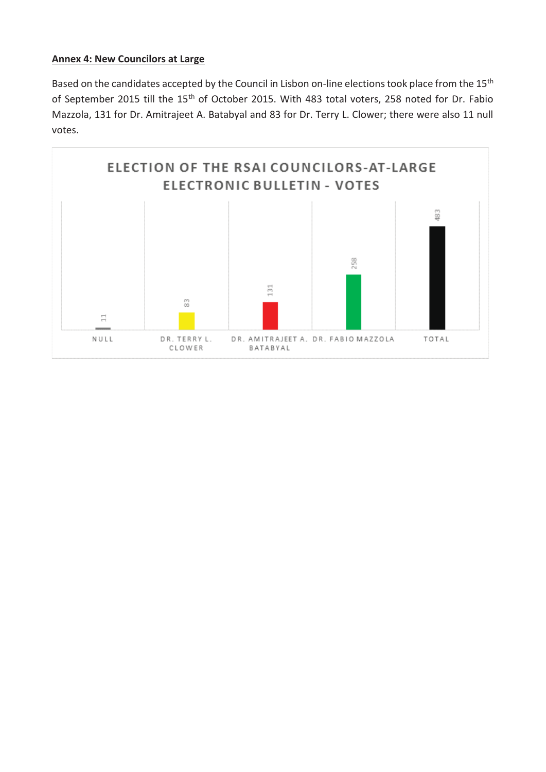### **Annex 4: New Councilors at Large**

Based on the candidates accepted by the Council in Lisbon on-line elections took place from the 15<sup>th</sup> of September 2015 till the 15<sup>th</sup> of October 2015. With 483 total voters, 258 noted for Dr. Fabio Mazzola, 131 for Dr. Amitrajeet A. Batabyal and 83 for Dr. Terry L. Clower; there were also 11 null votes.

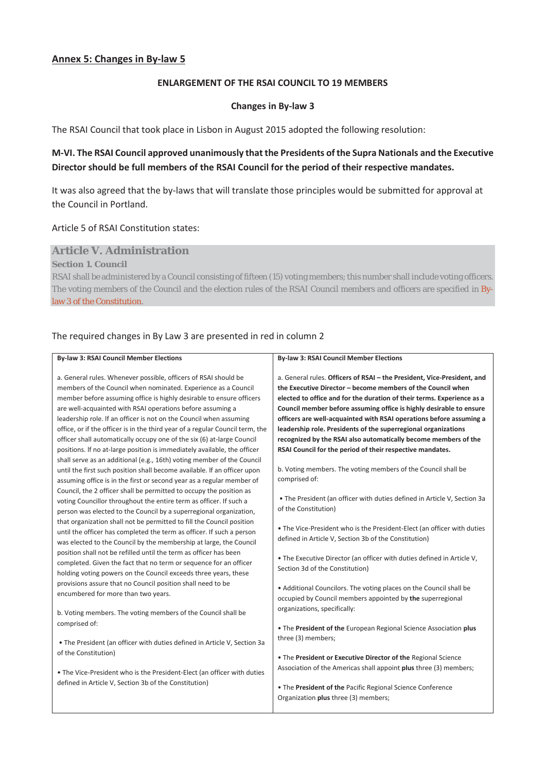#### **ENLARGEMENT OF THE RSAI COUNCIL TO 19 MEMBERS**

#### **Changes in By-law 3**

The RSAI Council that took place in Lisbon in August 2015 adopted the following resolution:

### **M-VI. The RSAI Council approved unanimously that the Presidents of the Supra Nationals and the Executive Director should be full members of the RSAI Council for the period of their respective mandates.**

It was also agreed that the by-laws that will translate those principles would be submitted for approval at the Council in Portland.

#### Article 5 of RSAI Constitution states:

#### **Article V. Administration**

**Section 1. Council**

RSAI shall be administered by a Council consisting of fifteen (15) voting members; this number shall include voting officers. The voting members of the Council and the election rules of the RSAI Council members and officers are specified in Bylaw 3 of the Constitution.

#### The required changes in By Law 3 are presented in red in column 2

#### **By-law 3: RSAI Council Member Elections**

a. General rules. Whenever possible, officers of RSAI should be members of the Council when nominated. Experience as a Council member before assuming office is highly desirable to ensure officers are well-acquainted with RSAI operations before assuming a leadership role. lf an officer is not on the Council when assuming office, or if the officer is in the third year of a regular Council term, the officer shall automatically occupy one of the six (6) at-large Council positions. lf no at-large position is immediately available, the officer shall serve as an additional (e.g., 16th) voting member of the Council until the first such position shall become available. lf an officer upon assuming office is in the first or second year as a regular member of Council, the 2 officer shall be permitted to occupy the position as voting Councillor throughout the entire term as officer. If such a person was elected to the Council by a superregional organization, that organization shall not be permitted to fill the Council position until the officer has completed the term as officer. If such a person was elected to the Council by the membership at large, the Council position shall not be refilled until the term as officer has been completed. Given the fact that no term or sequence for an officer holding voting powers on the Council exceeds three years, these provisions assure that no Council position shall need to be encumbered for more than two years.

b. Voting members. The voting members of the Council shall be comprised of:

• The President (an officer with duties defined in Article V, Section 3a of the Constitution)

• The Vice-President who is the President-Elect (an officer with duties defined in Article V, Section 3b of the Constitution)

#### **By-law 3: RSAI Council Member Elections**

a. General rules. **Officers of RSAI – the President, Vice-President, and the Executive Director – become members of the Council when elected to office and for the duration of their terms. Experience as a Council member before assuming office is highly desirable to ensure officers are well-acquainted with RSAI operations before assuming a leadership role. Presidents of the superregional organizations recognized by the RSAI also automatically become members of the RSAI Council for the period of their respective mandates.**

b. Voting members. The voting members of the Council shall be comprised of:

 • The President (an officer with duties defined in Article V, Section 3a of the Constitution)

• The Vice-President who is the President-Elect (an officer with duties defined in Article V, Section 3b of the Constitution)

• The Executive Director (an officer with duties defined in Article V, Section 3d of the Constitution)

• Additional Councilors. The voting places on the Council shall be occupied by Council members appointed by **the** superregional organizations, specifically:

• The **President of the** European Regional Science Association **plus** three (3) members;

• The **President or Executive Director of the** Regional Science Association of the Americas shall appoint **plus** three (3) members;

• The **President of the** Pacific Regional Science Conference Organization **plus** three (3) members;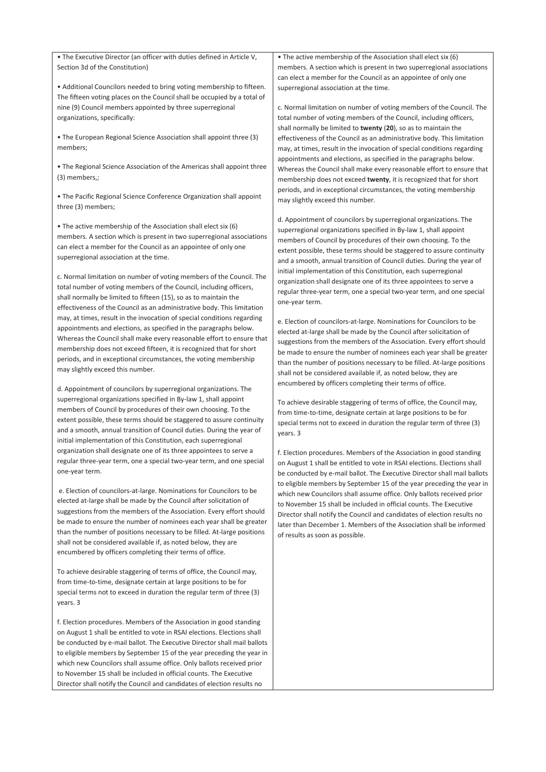• The Executive Director (an officer with duties defined in Article V, Section 3d of the Constitution)

• Additional Councilors needed to bring voting membership to fifteen. The fifteen voting places on the Council shall be occupied by a total of nine (9) Council members appointed by three superregional organizations, specifically:

• The European Regional Science Association shall appoint three (3) members;

• The Regional Science Association of the Americas shall appoint three (3) members,;

• The Pacific Regional Science Conference Organization shall appoint three (3) members;

• The active membership of the Association shall elect six (6) members. A section which is present in two superregional associations can elect a member for the Council as an appointee of only one superregional association at the time.

c. Normal limitation on number of voting members of the Council. The total number of voting members of the Council, including officers, shall normally be limited to fifteen (15), so as to maintain the effectiveness of the Council as an administrative body. This limitation may, at times, result in the invocation of special conditions regarding appointments and elections, as specified in the paragraphs below. Whereas the Council shall make every reasonable effort to ensure that membership does not exceed fifteen, it is recognized that for short periods, and in exceptional circumstances, the voting membership may slightly exceed this number.

d. Appointment of councilors by superregional organizations. The superregional organizations specified in By-law 1, shall appoint members of Council by procedures of their own choosing. To the extent possible, these terms should be staggered to assure continuity and a smooth, annual transition of Council duties. During the year of initial implementation of this Constitution, each superregional organization shall designate one of its three appointees to serve a regular three-year term, one a special two-year term, and one special one-year term.

e. Election of councilors-at-large. Nominations for Councilors to be elected at-large shall be made by the Council after solicitation of suggestions from the members of the Association. Every effort should be made to ensure the number of nominees each year shall be greater than the number of positions necessary to be filled. At-large positions shall not be considered available if, as noted below, they are encumbered by officers completing their terms of office.

To achieve desirable staggering of terms of office, the Council may, from time-to-time, designate certain at large positions to be for special terms not to exceed in duration the regular term of three (3) years. 3

f. Election procedures. Members of the Association in good standing on August 1 shall be entitled to vote in RSAI elections. Elections shall be conducted by e-mail ballot. The Executive Director shall mail ballots to eligible members by September 15 of the year preceding the year in which new Councilors shall assume office. Only ballots received prior to November 15 shall be included in official counts. The Executive Director shall notify the Council and candidates of election results no

• The active membership of the Association shall elect six (6) members. A section which is present in two superregional associations can elect a member for the Council as an appointee of only one superregional association at the time.

c. Normal limitation on number of voting members of the Council. The total number of voting members of the Council, including officers, shall normally be limited to **twenty** (**20**), so as to maintain the effectiveness of the Council as an administrative body. This limitation may, at times, result in the invocation of special conditions regarding appointments and elections, as specified in the paragraphs below. Whereas the Council shall make every reasonable effort to ensure that membership does not exceed **twenty**, it is recognized that for short periods, and in exceptional circumstances, the voting membership may slightly exceed this number.

d. Appointment of councilors by superregional organizations. The superregional organizations specified in By-law 1, shall appoint members of Council by procedures of their own choosing. To the extent possible, these terms should be staggered to assure continuity and a smooth, annual transition of Council duties. During the year of initial implementation of this Constitution, each superregional organization shall designate one of its three appointees to serve a regular three-year term, one a special two-year term, and one special one-year term.

e. Election of councilors-at-large. Nominations for Councilors to be elected at-large shall be made by the Council after solicitation of suggestions from the members of the Association. Every effort should be made to ensure the number of nominees each year shall be greater than the number of positions necessary to be filled. At-large positions shall not be considered available if, as noted below, they are encumbered by officers completing their terms of office.

To achieve desirable staggering of terms of office, the Council may, from time-to-time, designate certain at large positions to be for special terms not to exceed in duration the regular term of three (3) years. 3

f. Election procedures. Members of the Association in good standing on August 1 shall be entitled to vote in RSAI elections. Elections shall be conducted by e-mail ballot. The Executive Director shall mail ballots to eligible members by September 15 of the year preceding the year in which new Councilors shall assume office. Only ballots received prior to November 15 shall be included in official counts. The Executive Director shall notify the Council and candidates of election results no later than December 1. Members of the Association shall be informed of results as soon as possible.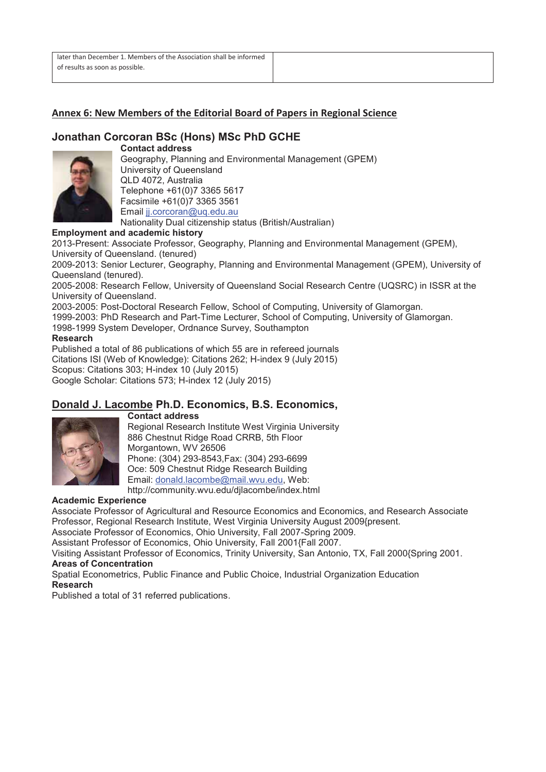#### **Annex 6: New Members of the Editorial Board of Papers in Regional Science**

### **Jonathan Corcoran BSc (Hons) MSc PhD GCHE**



**Contact address**  Geography, Planning and Environmental Management (GPEM) University of Queensland QLD 4072, Australia Telephone +61(0)7 3365 5617 Facsimile +61(0)7 3365 3561 Email jj.corcoran@uq.edu.au Nationality Dual citizenship status (British/Australian)

#### **Employment and academic history**

2013-Present: Associate Professor, Geography, Planning and Environmental Management (GPEM), University of Queensland. (tenured)

2009-2013: Senior Lecturer, Geography, Planning and Environmental Management (GPEM), University of Queensland (tenured).

2005-2008: Research Fellow, University of Queensland Social Research Centre (UQSRC) in ISSR at the University of Queensland.

2003-2005: Post-Doctoral Research Fellow, School of Computing, University of Glamorgan.

1999-2003: PhD Research and Part-Time Lecturer, School of Computing, University of Glamorgan.

1998-1999 System Developer, Ordnance Survey, Southampton

#### **Research**

Published a total of 86 publications of which 55 are in refereed journals Citations ISI (Web of Knowledge): Citations 262; H-index 9 (July 2015) Scopus: Citations 303; H-index 10 (July 2015) Google Scholar: Citations 573; H-index 12 (July 2015)

#### **Donald J. Lacombe Ph.D. Economics, B.S. Economics, Contact address**



Regional Research Institute West Virginia University 886 Chestnut Ridge Road CRRB, 5th Floor Morgantown, WV 26506 Phone: (304) 293-8543,Fax: (304) 293-6699 Oce: 509 Chestnut Ridge Research Building Email: donald.lacombe@mail.wvu.edu, Web: http://community.wvu.edu/djlacombe/index.html

#### **Academic Experience**

Associate Professor of Agricultural and Resource Economics and Economics, and Research Associate Professor, Regional Research Institute, West Virginia University August 2009{present.

Associate Professor of Economics, Ohio University, Fall 2007-Spring 2009.

Assistant Professor of Economics, Ohio University, Fall 2001{Fall 2007.

Visiting Assistant Professor of Economics, Trinity University, San Antonio, TX, Fall 2000{Spring 2001. **Areas of Concentration** 

Spatial Econometrics, Public Finance and Public Choice, Industrial Organization Education **Research** 

Published a total of 31 referred publications.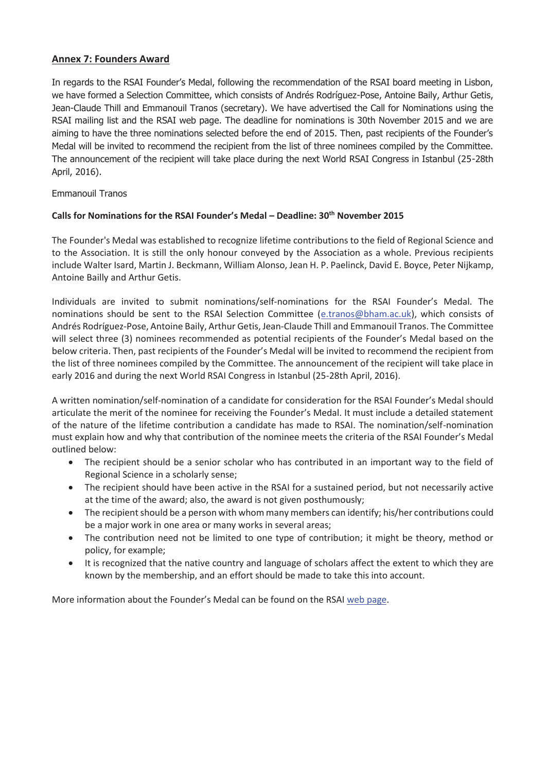#### **Annex 7: Founders Award**

In regards to the RSAI Founder's Medal, following the recommendation of the RSAI board meeting in Lisbon, we have formed a Selection Committee, which consists of Andrés Rodríguez-Pose, Antoine Baily, Arthur Getis, Jean-Claude Thill and Emmanouil Tranos (secretary). We have advertised the Call for Nominations using the RSAI mailing list and the RSAI web page. The deadline for nominations is 30th November 2015 and we are aiming to have the three nominations selected before the end of 2015. Then, past recipients of the Founder's Medal will be invited to recommend the recipient from the list of three nominees compiled by the Committee. The announcement of the recipient will take place during the next World RSAI Congress in Istanbul (25-28th April, 2016).

Emmanouil Tranos

#### **Calls for Nominations for the RSAI Founder's Medal – Deadline: 30th November 2015**

The Founder's Medal was established to recognize lifetime contributions to the field of Regional Science and to the Association. It is still the only honour conveyed by the Association as a whole. Previous recipients include Walter Isard, Martin J. Beckmann, William Alonso, Jean H. P. Paelinck, David E. Boyce, Peter Nijkamp, Antoine Bailly and Arthur Getis.

Individuals are invited to submit nominations/self-nominations for the RSAI Founder's Medal. The nominations should be sent to the RSAI Selection Committee (e.tranos@bham.ac.uk), which consists of Andrés Rodríguez-Pose, Antoine Baily, Arthur Getis, Jean-Claude Thill and Emmanouil Tranos. The Committee will select three (3) nominees recommended as potential recipients of the Founder's Medal based on the below criteria. Then, past recipients of the Founder's Medal will be invited to recommend the recipient from the list of three nominees compiled by the Committee. The announcement of the recipient will take place in early 2016 and during the next World RSAI Congress in Istanbul (25-28th April, 2016).

A written nomination/self-nomination of a candidate for consideration for the RSAI Founder's Medal should articulate the merit of the nominee for receiving the Founder's Medal. It must include a detailed statement of the nature of the lifetime contribution a candidate has made to RSAI. The nomination/self-nomination must explain how and why that contribution of the nominee meets the criteria of the RSAI Founder's Medal outlined below:

- The recipient should be a senior scholar who has contributed in an important way to the field of Regional Science in a scholarly sense;
- The recipient should have been active in the RSAI for a sustained period, but not necessarily active at the time of the award; also, the award is not given posthumously;
- The recipient should be a person with whom many members can identify; his/her contributions could be a major work in one area or many works in several areas;
- The contribution need not be limited to one type of contribution; it might be theory, method or policy, for example;
- It is recognized that the native country and language of scholars affect the extent to which they are known by the membership, and an effort should be made to take this into account.

More information about the Founder's Medal can be found on the RSAI web page.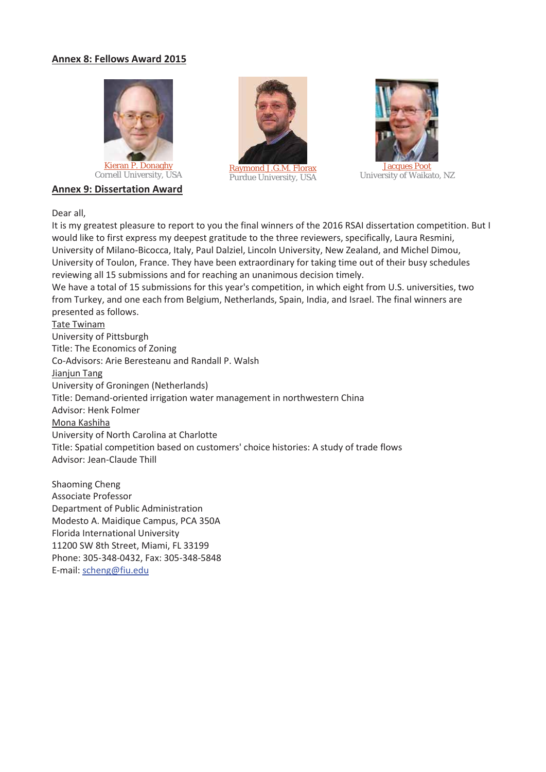#### **Annex 8: Fellows Award 2015**







<u>Kieran P. Donagny</u><br>Cornell University, USA Raymond J.G.M. Florax Purdue University, USA



University of Waikato, NZ

#### Dear all,

It is my greatest pleasure to report to you the final winners of the 2016 RSAI dissertation competition. But I would like to first express my deepest gratitude to the three reviewers, specifically, Laura Resmini, University of Milano-Bicocca, Italy, Paul Dalziel, Lincoln University, New Zealand, and Michel Dimou, University of Toulon, France. They have been extraordinary for taking time out of their busy schedules reviewing all 15 submissions and for reaching an unanimous decision timely. We have a total of 15 submissions for this year's competition, in which eight from U.S. universities, two from Turkey, and one each from Belgium, Netherlands, Spain, India, and Israel. The final winners are presented as follows. Tate Twinam University of Pittsburgh Title: The Economics of Zoning Co-Advisors: Arie Beresteanu and Randall P. Walsh Jianjun Tang University of Groningen (Netherlands) Title: Demand-oriented irrigation water management in northwestern China Advisor: Henk Folmer Mona Kashiha University of North Carolina at Charlotte Title: Spatial competition based on customers' choice histories: A study of trade flows Advisor: Jean-Claude Thill

Shaoming Cheng Associate Professor Department of Public Administration Modesto A. Maidique Campus, PCA 350A Florida International University 11200 SW 8th Street, Miami, FL 33199 Phone: 305-348-0432, Fax: 305-348-5848 E-mail: scheng@fiu.edu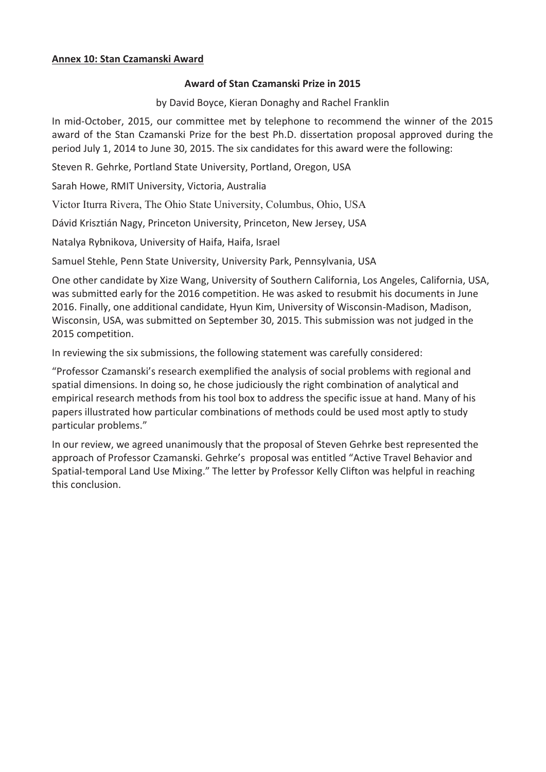### **Annex 10: Stan Czamanski Award**

#### **Award of Stan Czamanski Prize in 2015**

by David Boyce, Kieran Donaghy and Rachel Franklin

In mid-October, 2015, our committee met by telephone to recommend the winner of the 2015 award of the Stan Czamanski Prize for the best Ph.D. dissertation proposal approved during the period July 1, 2014 to June 30, 2015. The six candidates for this award were the following:

Steven R. Gehrke, Portland State University, Portland, Oregon, USA

Sarah Howe, RMIT University, Victoria, Australia

Victor Iturra Rivera, The Ohio State University, Columbus, Ohio, USA

Dávid Krisztián Nagy, Princeton University, Princeton, New Jersey, USA

Natalya Rybnikova, University of Haifa, Haifa, Israel

Samuel Stehle, Penn State University, University Park, Pennsylvania, USA

One other candidate by Xize Wang, University of Southern California, Los Angeles, California, USA, was submitted early for the 2016 competition. He was asked to resubmit his documents in June 2016. Finally, one additional candidate, Hyun Kim, University of Wisconsin-Madison, Madison, Wisconsin, USA, was submitted on September 30, 2015. This submission was not judged in the 2015 competition.

In reviewing the six submissions, the following statement was carefully considered:

"Professor Czamanski's research exemplified the analysis of social problems with regional and spatial dimensions. In doing so, he chose judiciously the right combination of analytical and empirical research methods from his tool box to address the specific issue at hand. Many of his papers illustrated how particular combinations of methods could be used most aptly to study particular problems."

In our review, we agreed unanimously that the proposal of Steven Gehrke best represented the approach of Professor Czamanski. Gehrke's proposal was entitled "Active Travel Behavior and Spatial-temporal Land Use Mixing." The letter by Professor Kelly Clifton was helpful in reaching this conclusion.